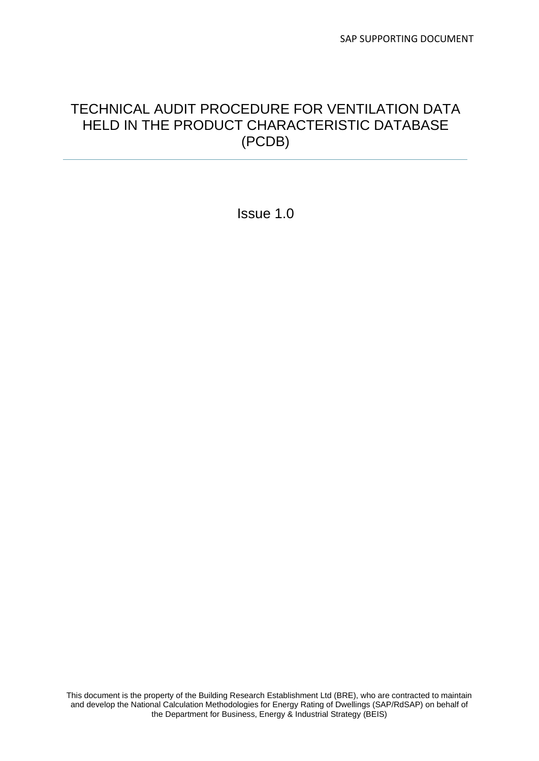# TECHNICAL AUDIT PROCEDURE FOR VENTILATION DATA HELD IN THE PRODUCT CHARACTERISTIC DATABASE (PCDB)

Issue 1.0

This document is the property of the Building Research Establishment Ltd (BRE), who are contracted to maintain and develop the National Calculation Methodologies for Energy Rating of Dwellings (SAP/RdSAP) on behalf of the Department for Business, Energy & Industrial Strategy (BEIS)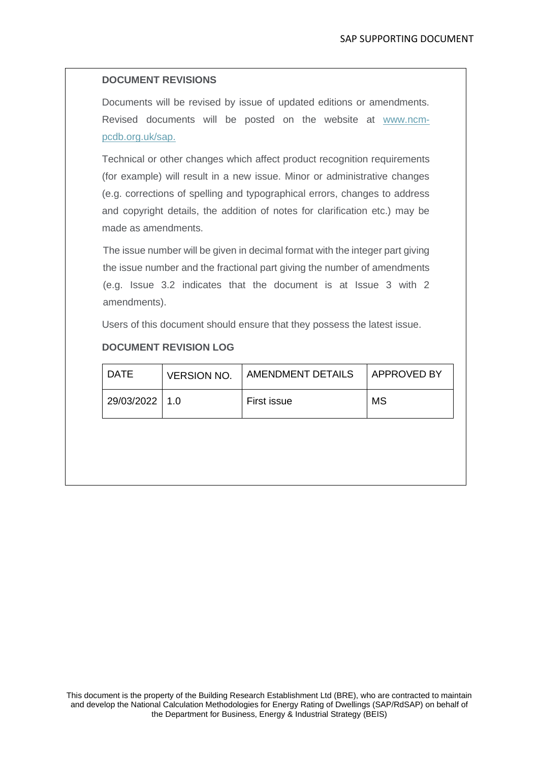### **DOCUMENT REVISIONS**

Documents will be revised by issue of updated editions or amendments. Revised documents will be posted on the website at [www.ncm](http://www.ncm-pcdb.org.uk/sap)[pcdb.org.uk/sap.](http://www.ncm-pcdb.org.uk/sap)

Technical or other changes which affect product recognition requirements (for example) will result in a new issue. Minor or administrative changes (e.g. corrections of spelling and typographical errors, changes to address and copyright details, the addition of notes for clarification etc.) may be made as amendments.

The issue number will be given in decimal format with the integer part giving the issue number and the fractional part giving the number of amendments (e.g. Issue 3.2 indicates that the document is at Issue 3 with 2 amendments).

Users of this document should ensure that they possess the latest issue.

### **DOCUMENT REVISION LOG**

| DATE             | <b>VERSION NO.</b> | <b>AMENDMENT DETAILS</b> | <b>APPROVED BY</b> |
|------------------|--------------------|--------------------------|--------------------|
| 29/03/2022   1.0 |                    | First issue              | <b>MS</b>          |
|                  |                    |                          |                    |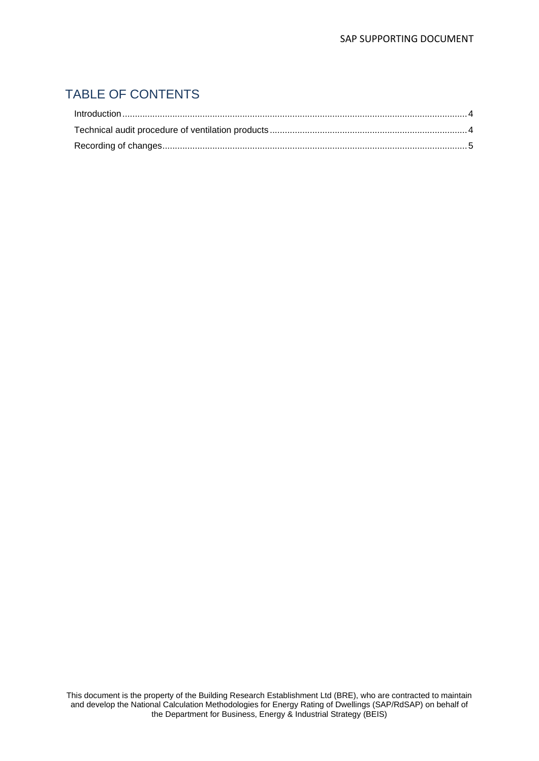# TABLE OF CONTENTS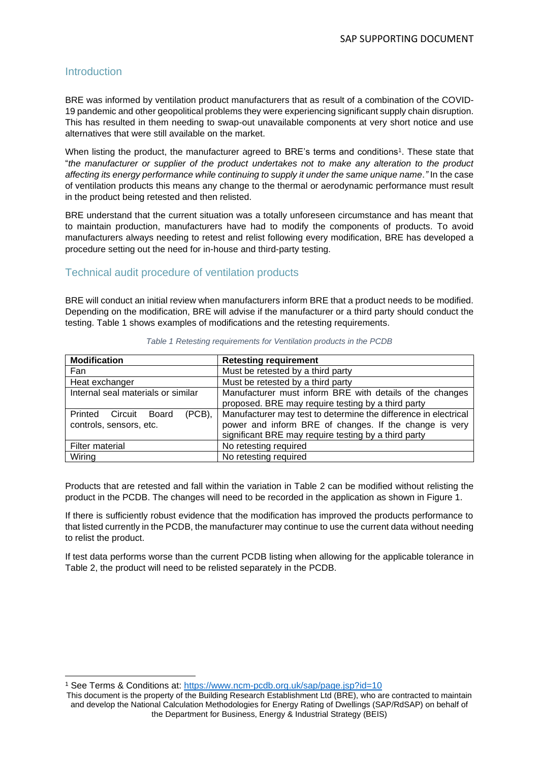#### <span id="page-3-0"></span>**Introduction**

BRE was informed by ventilation product manufacturers that as result of a combination of the COVID-19 pandemic and other geopolitical problems they were experiencing significant supply chain disruption. This has resulted in them needing to swap-out unavailable components at very short notice and use alternatives that were still available on the market.

When listing the product, the manufacturer agreed to BRE's terms and conditions<sup>1</sup>. These state that "*the manufacturer or supplier of the product undertakes not to make any alteration to the product affecting its energy performance while continuing to supply it under the same unique name."* In the case of ventilation products this means any change to the thermal or aerodynamic performance must result in the product being retested and then relisted.

BRE understand that the current situation was a totally unforeseen circumstance and has meant that to maintain production, manufacturers have had to modify the components of products. To avoid manufacturers always needing to retest and relist following every modification, BRE has developed a procedure setting out the need for in-house and third-party testing.

# <span id="page-3-1"></span>Technical audit procedure of ventilation products

BRE will conduct an initial review when manufacturers inform BRE that a product needs to be modified. Depending on the modification, BRE will advise if the manufacturer or a third party should conduct the testing. Table 1 shows examples of modifications and the retesting requirements.

| <b>Modification</b>                                        | <b>Retesting requirement</b>                                                                                                                                                      |  |
|------------------------------------------------------------|-----------------------------------------------------------------------------------------------------------------------------------------------------------------------------------|--|
| Fan                                                        | Must be retested by a third party                                                                                                                                                 |  |
| Heat exchanger                                             | Must be retested by a third party                                                                                                                                                 |  |
| Internal seal materials or similar                         | Manufacturer must inform BRE with details of the changes<br>proposed. BRE may require testing by a third party                                                                    |  |
| (PCB),<br>Printed Circuit Board<br>controls, sensors, etc. | Manufacturer may test to determine the difference in electrical<br>power and inform BRE of changes. If the change is very<br>significant BRE may require testing by a third party |  |
| Filter material                                            | No retesting required                                                                                                                                                             |  |
| Wiring                                                     | No retesting required                                                                                                                                                             |  |

#### *Table 1 Retesting requirements for Ventilation products in the PCDB*

Products that are retested and fall within the variation in Table 2 can be modified without relisting the product in the PCDB. The changes will need to be recorded in the application as shown in Figure 1.

If there is sufficiently robust evidence that the modification has improved the products performance to that listed currently in the PCDB, the manufacturer may continue to use the current data without needing to relist the product.

If test data performs worse than the current PCDB listing when allowing for the applicable tolerance in Table 2, the product will need to be relisted separately in the PCDB.

<sup>1</sup> See Terms & Conditions at:<https://www.ncm-pcdb.org.uk/sap/page.jsp?id=10>

This document is the property of the Building Research Establishment Ltd (BRE), who are contracted to maintain and develop the National Calculation Methodologies for Energy Rating of Dwellings (SAP/RdSAP) on behalf of the Department for Business, Energy & Industrial Strategy (BEIS)